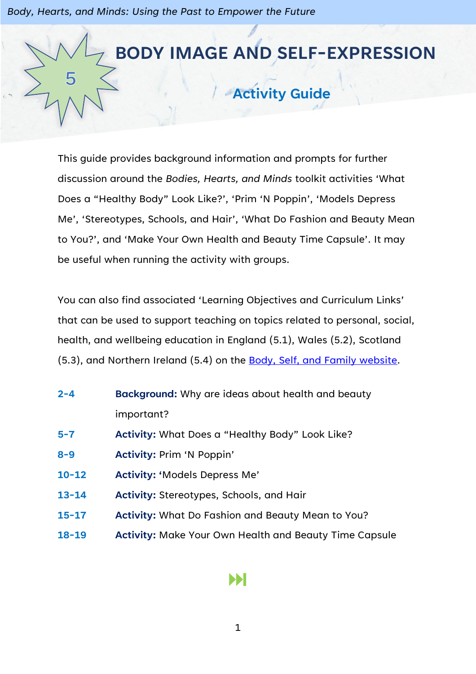

This guide provides background information and prompts for further discussion around the *Bodies, Hearts, and Minds* toolkit activities 'What Does a "Healthy Body" Look Like?', 'Prim 'N Poppin', 'Models Depress Me', 'Stereotypes, Schools, and Hair', 'What Do Fashion and Beauty Mean to You?', and 'Make Your Own Health and Beauty Time Capsule'. It may be useful when running the activity with groups.

You can also find associated 'Learning Objectives and Curriculum Links' that can be used to support teaching on topics related to personal, social, health, and wellbeing education in England (5.1), Wales (5.2), Scotland (5.3), and Northern Ireland (5.4) on the Body, [Self, and Family website.](https://bodyselffamily.org/)

- **2-4 Background:** Why are ideas about health and beauty important?
- **5-7 Activity:** What Does a "Healthy Body" Look Like?
- **8-9 Activity:** Prim 'N Poppin'
- **10-12 Activity: '**Models Depress Me'
- **13-14 Activity:** Stereotypes, Schools, and Hair
- **15-17 Activity:** What Do Fashion and Beauty Mean to You?
- **18-19 Activity:** Make Your Own Health and Beauty Time Capsule

#### Ы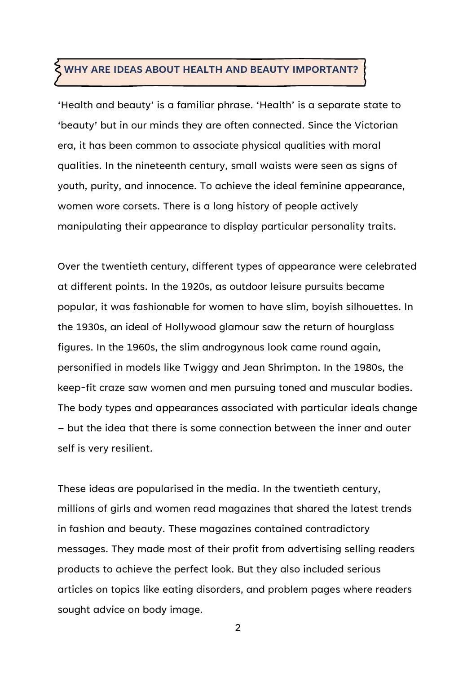#### **WHY ARE IDEAS ABOUT HEALTH AND BEAUTY IMPORTANT?**

'Health and beauty' is a familiar phrase. 'Health' is a separate state to 'beauty' but in our minds they are often connected. Since the Victorian era, it has been common to associate physical qualities with moral qualities. In the nineteenth century, small waists were seen as signs of youth, purity, and innocence. To achieve the ideal feminine appearance, women wore corsets. There is a long history of people actively manipulating their appearance to display particular personality traits.

Over the twentieth century, different types of appearance were celebrated at different points. In the 1920s, as outdoor leisure pursuits became popular, it was fashionable for women to have slim, boyish silhouettes. In the 1930s, an ideal of Hollywood glamour saw the return of hourglass figures. In the 1960s, the slim androgynous look came round again, personified in models like Twiggy and Jean Shrimpton. In the 1980s, the keep-fit craze saw women and men pursuing toned and muscular bodies. The body types and appearances associated with particular ideals change – but the idea that there is some connection between the inner and outer self is very resilient.

These ideas are popularised in the media. In the twentieth century, millions of girls and women read magazines that shared the latest trends in fashion and beauty. These magazines contained contradictory messages. They made most of their profit from advertising selling readers products to achieve the perfect look. But they also included serious articles on topics like eating disorders, and problem pages where readers sought advice on body image.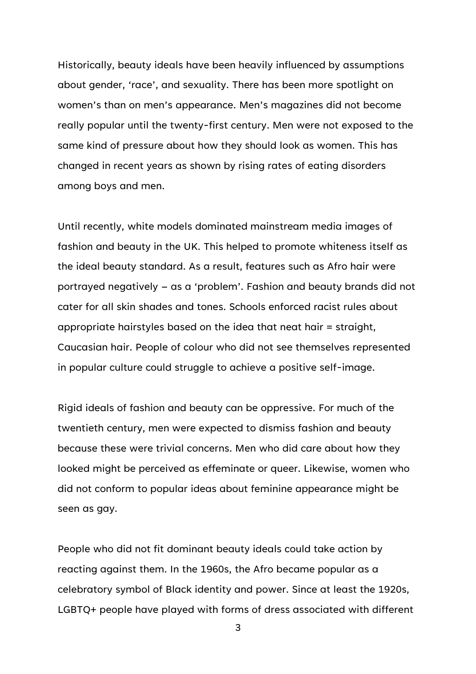Historically, beauty ideals have been heavily influenced by assumptions about gender, 'race', and sexuality. There has been more spotlight on women's than on men's appearance. Men's magazines did not become really popular until the twenty-first century. Men were not exposed to the same kind of pressure about how they should look as women. This has changed in recent years as shown by rising rates of eating disorders among boys and men.

Until recently, white models dominated mainstream media images of fashion and beauty in the UK. This helped to promote whiteness itself as the ideal beauty standard. As a result, features such as Afro hair were portrayed negatively – as a 'problem'. Fashion and beauty brands did not cater for all skin shades and tones. Schools enforced racist rules about appropriate hairstyles based on the idea that neat hair = straight, Caucasian hair. People of colour who did not see themselves represented in popular culture could struggle to achieve a positive self-image.

Rigid ideals of fashion and beauty can be oppressive. For much of the twentieth century, men were expected to dismiss fashion and beauty because these were trivial concerns. Men who did care about how they looked might be perceived as effeminate or queer. Likewise, women who did not conform to popular ideas about feminine appearance might be seen as gay.

People who did not fit dominant beauty ideals could take action by reacting against them. In the 1960s, the Afro became popular as a celebratory symbol of Black identity and power. Since at least the 1920s, LGBTQ+ people have played with forms of dress associated with different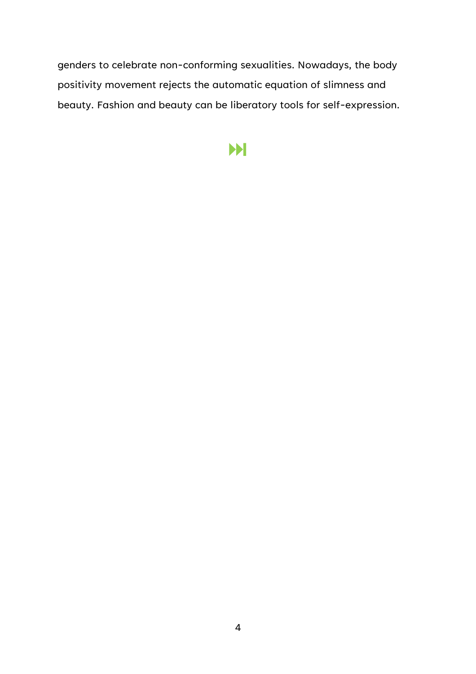genders to celebrate non-conforming sexualities. Nowadays, the body positivity movement rejects the automatic equation of slimness and beauty. Fashion and beauty can be liberatory tools for self-expression.

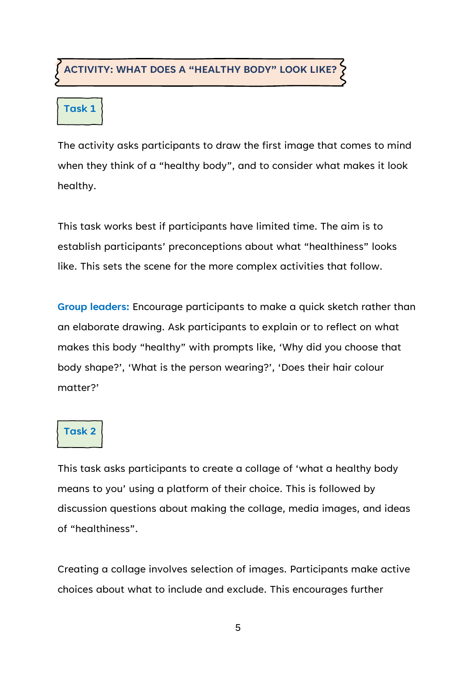#### **ACTIVITY: WHAT DOES A "HEALTHY BODY" LOOK LIKE?**

#### **Task 1**

The activity asks participants to draw the first image that comes to mind when they think of a "healthy body", and to consider what makes it look healthy.

This task works best if participants have limited time. The aim is to establish participants' preconceptions about what "healthiness" looks like. This sets the scene for the more complex activities that follow.

**Group leaders:** Encourage participants to make a quick sketch rather than an elaborate drawing. Ask participants to explain or to reflect on what makes this body "healthy" with prompts like, 'Why did you choose that body shape?', 'What is the person wearing?', 'Does their hair colour matter?'

#### **Task 2**

This task asks participants to create a collage of 'what a healthy body means to you' using a platform of their choice. This is followed by discussion questions about making the collage, media images, and ideas of "healthiness".

Creating a collage involves selection of images. Participants make active choices about what to include and exclude. This encourages further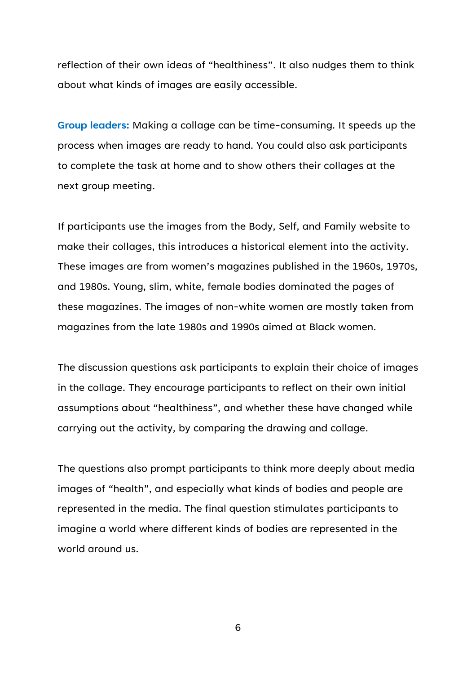reflection of their own ideas of "healthiness". It also nudges them to think about what kinds of images are easily accessible.

**Group leaders:** Making a collage can be time-consuming. It speeds up the process when images are ready to hand. You could also ask participants to complete the task at home and to show others their collages at the next group meeting.

If participants use the images from the Body, Self, and Family website to make their collages, this introduces a historical element into the activity. These images are from women's magazines published in the 1960s, 1970s, and 1980s. Young, slim, white, female bodies dominated the pages of these magazines. The images of non-white women are mostly taken from magazines from the late 1980s and 1990s aimed at Black women.

The discussion questions ask participants to explain their choice of images in the collage. They encourage participants to reflect on their own initial assumptions about "healthiness", and whether these have changed while carrying out the activity, by comparing the drawing and collage.

The questions also prompt participants to think more deeply about media images of "health", and especially what kinds of bodies and people are represented in the media. The final question stimulates participants to imagine a world where different kinds of bodies are represented in the world around us.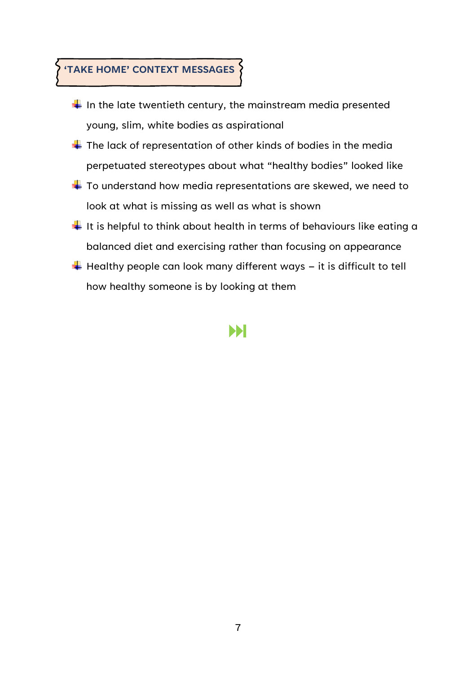## **'TAKE HOME' CONTEXT MESSAGES**

- $\frac{1}{2}$  In the late twentieth century, the mainstream media presented young, slim, white bodies as aspirational
- $\downarrow$  The lack of representation of other kinds of bodies in the media perpetuated stereotypes about what "healthy bodies" looked like
- $\ddot{\bullet}$  To understand how media representations are skewed, we need to look at what is missing as well as what is shown
- $\frac{1}{2}$  It is helpful to think about health in terms of behaviours like eating a balanced diet and exercising rather than focusing on appearance
- $\ddot{\phantom{1}}$  Healthy people can look many different ways it is difficult to tell how healthy someone is by looking at them

### Ы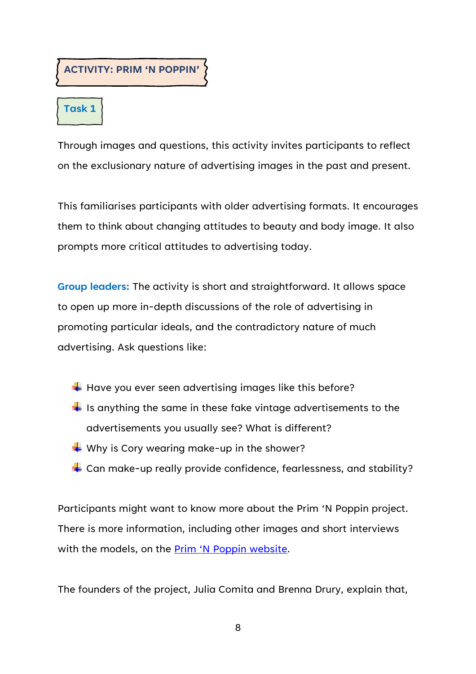#### **ACTIVITY: PRIM 'N POPPIN'**

### **Task 1**

Through images and questions, this activity invites participants to reflect on the exclusionary nature of advertising images in the past and present.

This familiarises participants with older advertising formats. It encourages them to think about changing attitudes to beauty and body image. It also prompts more critical attitudes to advertising today.

**Group leaders:** The activity is short and straightforward. It allows space to open up more in-depth discussions of the role of advertising in promoting particular ideals, and the contradictory nature of much advertising. Ask questions like:

- $\ddot{}$  Have you ever seen advertising images like this before?
- $\frac{1}{2}$  Is anything the same in these fake vintage advertisements to the advertisements you usually see? What is different?
- $\blacktriangleright$  Why is Cory wearing make-up in the shower?
- $\downarrow$  Can make-up really provide confidence, fearlessness, and stability?

Participants might want to know more about the Prim 'N Poppin project. There is more information, including other images and short interviews with the models, on the **[Prim 'N Poppin website](https://www.prim-poppin.com/)**.

The founders of the project, Julia Comita and Brenna Drury, explain that,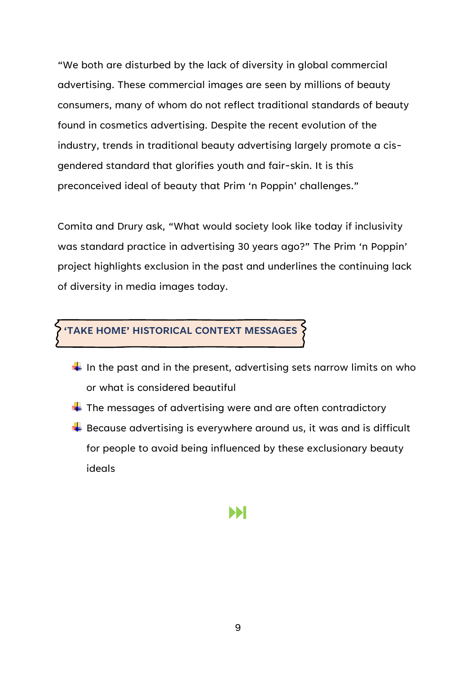"We both are disturbed by the lack of diversity in global commercial advertising. These commercial images are seen by millions of beauty consumers, many of whom do not reflect traditional standards of beauty found in cosmetics advertising. Despite the recent evolution of the industry, trends in traditional beauty advertising largely promote a cisgendered standard that glorifies youth and fair-skin. It is this preconceived ideal of beauty that Prim 'n Poppin' challenges."

Comita and Drury ask, "What would society look like today if inclusivity was standard practice in advertising 30 years ago?" The Prim 'n Poppin' project highlights exclusion in the past and underlines the continuing lack of diversity in media images today.

#### **'TAKE HOME' HISTORICAL CONTEXT MESSAGES**

- $\frac{1}{2}$  In the past and in the present, advertising sets narrow limits on who or what is considered beautiful
- $\ddot$  The messages of advertising were and are often contradictory
- $\frac{1}{2}$  Because advertising is everywhere around us, it was and is difficult for people to avoid being influenced by these exclusionary beauty ideals

## Ы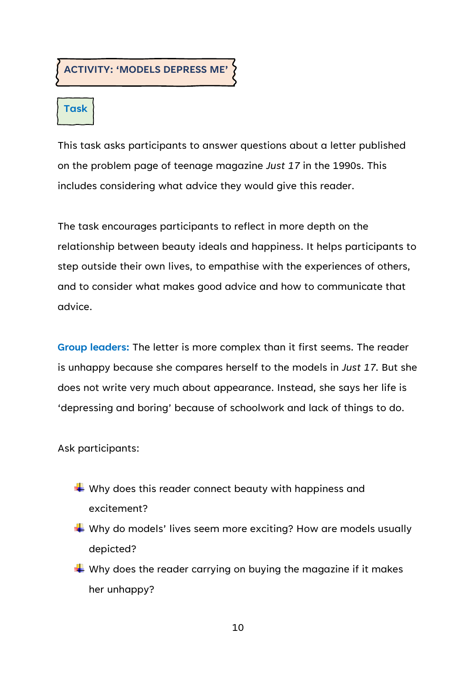**ACTIVITY: 'MODELS DEPRESS ME'**

### **Task**

This task asks participants to answer questions about a letter published on the problem page of teenage magazine *Just 17* in the 1990s. This includes considering what advice they would give this reader.

The task encourages participants to reflect in more depth on the relationship between beauty ideals and happiness. It helps participants to step outside their own lives, to empathise with the experiences of others, and to consider what makes good advice and how to communicate that advice.

**Group leaders:** The letter is more complex than it first seems. The reader is unhappy because she compares herself to the models in *Just 17*. But she does not write very much about appearance. Instead, she says her life is 'depressing and boring' because of schoolwork and lack of things to do.

Ask participants:

- $\frac{1}{2}$  Why does this reader connect beauty with happiness and excitement?
- $\blacklozenge$  Why do models' lives seem more exciting? How are models usually depicted?
- $\frac{1}{2}$  Why does the reader carrying on buying the magazine if it makes her unhappy?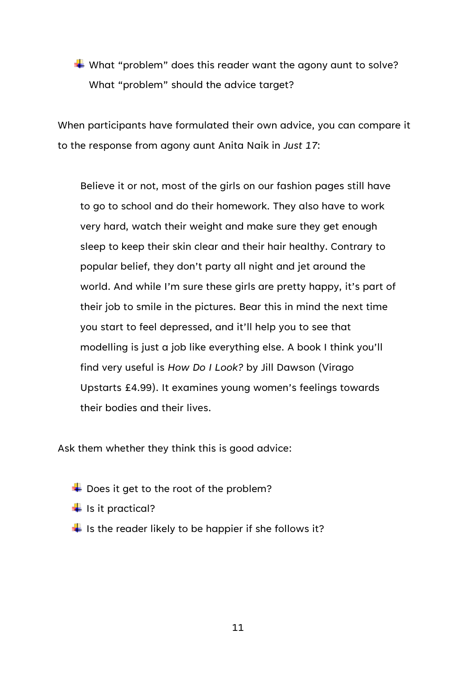$\blacklozenge$  What "problem" does this reader want the agony aunt to solve? What "problem" should the advice target?

When participants have formulated their own advice, you can compare it to the response from agony aunt Anita Naik in *Just 17*:

Believe it or not, most of the girls on our fashion pages still have to go to school and do their homework. They also have to work very hard, watch their weight and make sure they get enough sleep to keep their skin clear and their hair healthy. Contrary to popular belief, they don't party all night and jet around the world. And while I'm sure these girls are pretty happy, it's part of their job to smile in the pictures. Bear this in mind the next time you start to feel depressed, and it'll help you to see that modelling is just a job like everything else. A book I think you'll find very useful is *How Do I Look?* by Jill Dawson (Virago Upstarts £4.99). It examines young women's feelings towards their bodies and their lives.

Ask them whether they think this is good advice:

- $\overline{\text{+}}$  Does it get to the root of the problem?
- $\frac{1}{\sqrt{2}}$  is it practical?
- $\frac{1}{2}$  Is the reader likely to be happier if she follows it?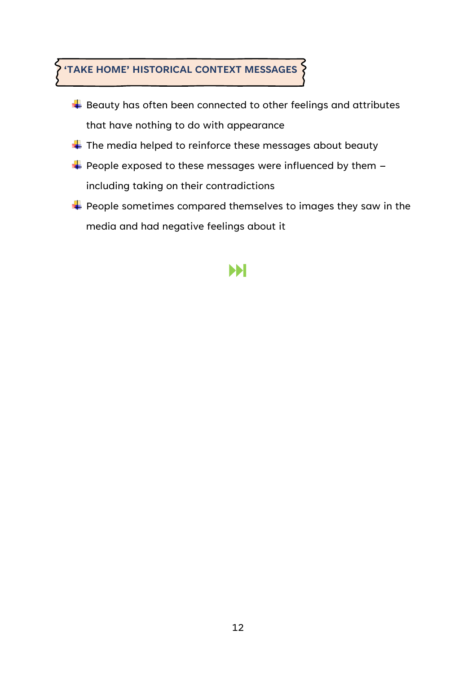## **'TAKE HOME' HISTORICAL CONTEXT MESSAGES**

- $\overline{\phantom{a}}$  Beauty has often been connected to other feelings and attributes that have nothing to do with appearance
- $\blacktriangle$  The media helped to reinforce these messages about beauty
- $\overline{\textbf{I}}$  People exposed to these messages were influenced by them  $\overline{\textbf{I}}$ including taking on their contradictions
- $\blacktriangleright$  People sometimes compared themselves to images they saw in the media and had negative feelings about it

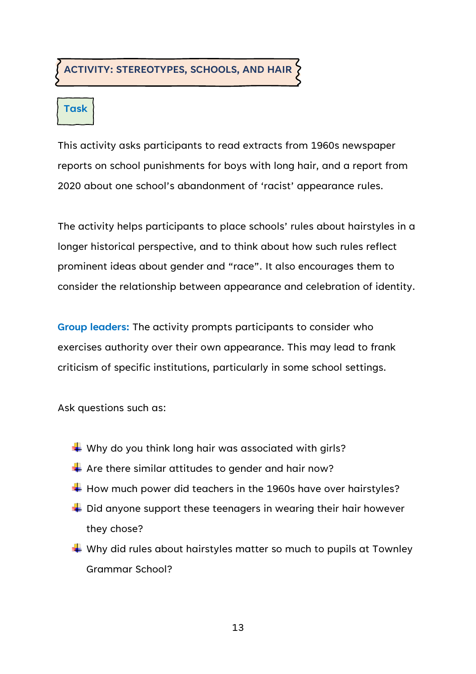#### **ACTIVITY: STEREOTYPES, SCHOOLS, AND HAIR**

# **Task**

This activity asks participants to read extracts from 1960s newspaper reports on school punishments for boys with long hair, and a report from 2020 about one school's abandonment of 'racist' appearance rules.

The activity helps participants to place schools' rules about hairstyles in a longer historical perspective, and to think about how such rules reflect prominent ideas about gender and "race". It also encourages them to consider the relationship between appearance and celebration of identity.

**Group leaders:** The activity prompts participants to consider who exercises authority over their own appearance. This may lead to frank criticism of specific institutions, particularly in some school settings.

Ask questions such as:

- $\blacktriangleright$  Why do you think long hair was associated with girls?
- $\frac{1}{2}$  Are there similar attitudes to gender and hair now?
- $\ddotplus$  How much power did teachers in the 1960s have over hairstyles?
- $\div$  Did anyone support these teenagers in wearing their hair however they chose?
- $\frac{1}{2}$  Why did rules about hairstyles matter so much to pupils at Townley Grammar School?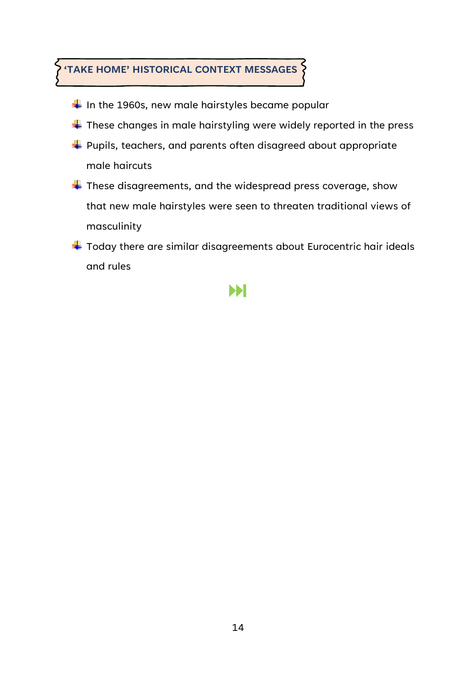### **'TAKE HOME' HISTORICAL CONTEXT MESSAGES**

- In the 1960s, new male hairstyles became popular
- $\ddot{}$  These changes in male hairstyling were widely reported in the press
- Pupils, teachers, and parents often disagreed about appropriate male haircuts
- $\overline{\textbf{I}}$  These disagreements, and the widespread press coverage, show that new male hairstyles were seen to threaten traditional views of masculinity
- $\ddot{}$  Today there are similar disagreements about Eurocentric hair ideals and rules

### ÞН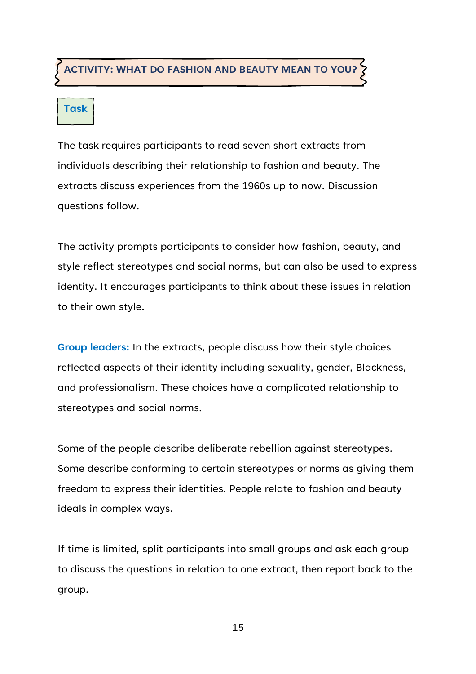#### **ACTIVITY: WHAT DO FASHION AND BEAUTY MEAN TO YOU?**

# **Task**

The task requires participants to read seven short extracts from individuals describing their relationship to fashion and beauty. The extracts discuss experiences from the 1960s up to now. Discussion questions follow.

The activity prompts participants to consider how fashion, beauty, and style reflect stereotypes and social norms, but can also be used to express identity. It encourages participants to think about these issues in relation to their own style.

**Group leaders:** In the extracts, people discuss how their style choices reflected aspects of their identity including sexuality, gender, Blackness, and professionalism. These choices have a complicated relationship to stereotypes and social norms.

Some of the people describe deliberate rebellion against stereotypes. Some describe conforming to certain stereotypes or norms as giving them freedom to express their identities. People relate to fashion and beauty ideals in complex ways.

If time is limited, split participants into small groups and ask each group to discuss the questions in relation to one extract, then report back to the group.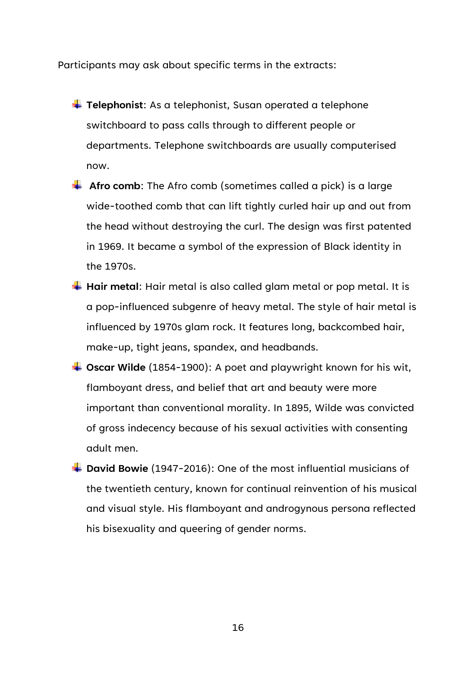Participants may ask about specific terms in the extracts:

- **T** Telephonist: As a telephonist, Susan operated a telephone switchboard to pass calls through to different people or departments. Telephone switchboards are usually computerised now.
- **Afro comb**: The Afro comb (sometimes called a pick) is a large wide-toothed comb that can lift tightly curled hair up and out from the head without destroying the curl. The design was first patented in 1969. It became a symbol of the expression of Black identity in the 1970s.
- **Hair metal:** Hair metal is also called glam metal or pop metal. It is a pop-influenced subgenre of heavy metal. The style of hair metal is influenced by 1970s glam rock. It features long, backcombed hair, make-up, tight jeans, spandex, and headbands.
- **Oscar Wilde** (1854-1900): A poet and playwright known for his wit, flamboyant dress, and belief that art and beauty were more important than conventional morality. In 1895, Wilde was convicted of gross indecency because of his sexual activities with consenting adult men.
- $\downarrow$  **David Bowie** (1947-2016): One of the most influential musicians of the twentieth century, known for continual reinvention of his musical and visual style. His flamboyant and androgynous persona reflected his bisexuality and queering of gender norms.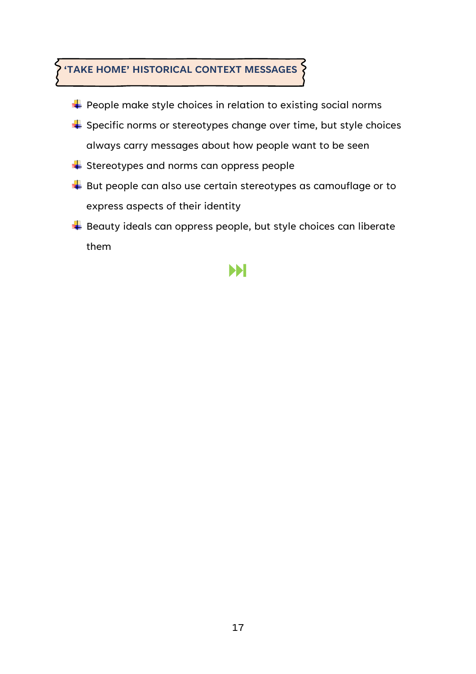## **'TAKE HOME' HISTORICAL CONTEXT MESSAGES**

- $\blacktriangle$  People make style choices in relation to existing social norms
- Specific norms or stereotypes change over time, but style choices always carry messages about how people want to be seen
- $\triangleq$  Stereotypes and norms can oppress people
- But people can also use certain stereotypes as camouflage or to express aspects of their identity
- Beauty ideals can oppress people, but style choices can liberate them

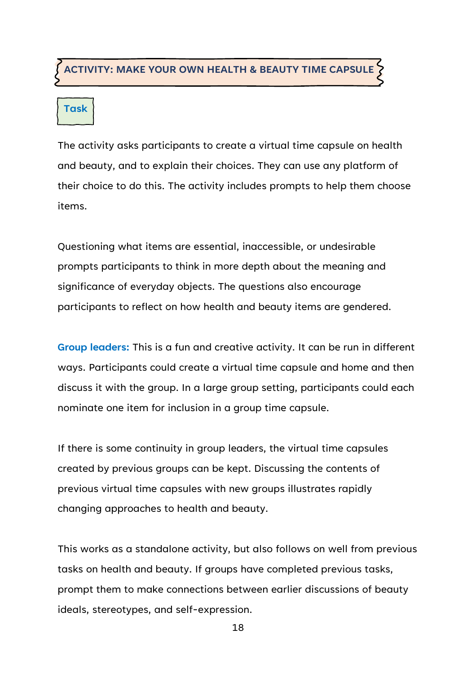#### **ACTIVITY: MAKE YOUR OWN HEALTH & BEAUTY TIME CAPSULE**

# **Task**

The activity asks participants to create a virtual time capsule on health and beauty, and to explain their choices. They can use any platform of their choice to do this. The activity includes prompts to help them choose items.

Questioning what items are essential, inaccessible, or undesirable prompts participants to think in more depth about the meaning and significance of everyday objects. The questions also encourage participants to reflect on how health and beauty items are gendered.

**Group leaders:** This is a fun and creative activity. It can be run in different ways. Participants could create a virtual time capsule and home and then discuss it with the group. In a large group setting, participants could each nominate one item for inclusion in a group time capsule.

If there is some continuity in group leaders, the virtual time capsules created by previous groups can be kept. Discussing the contents of previous virtual time capsules with new groups illustrates rapidly changing approaches to health and beauty.

This works as a standalone activity, but also follows on well from previous tasks on health and beauty. If groups have completed previous tasks, prompt them to make connections between earlier discussions of beauty ideals, stereotypes, and self-expression.